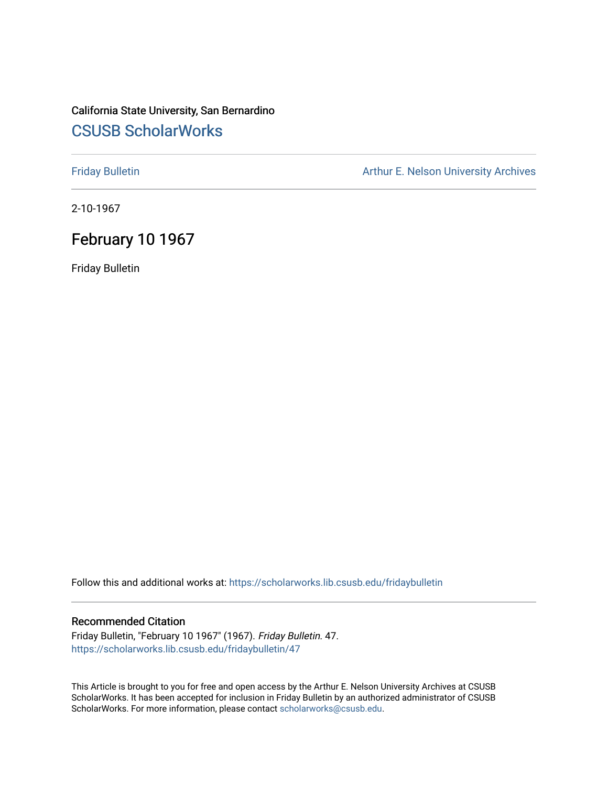## California State University, San Bernardino [CSUSB ScholarWorks](https://scholarworks.lib.csusb.edu/)

[Friday Bulletin](https://scholarworks.lib.csusb.edu/fridaybulletin) **Arthur E. Nelson University Archives** Arthur E. Nelson University Archives

2-10-1967

# February 10 1967

Friday Bulletin

Follow this and additional works at: [https://scholarworks.lib.csusb.edu/fridaybulletin](https://scholarworks.lib.csusb.edu/fridaybulletin?utm_source=scholarworks.lib.csusb.edu%2Ffridaybulletin%2F47&utm_medium=PDF&utm_campaign=PDFCoverPages)

## Recommended Citation

Friday Bulletin, "February 10 1967" (1967). Friday Bulletin. 47. [https://scholarworks.lib.csusb.edu/fridaybulletin/47](https://scholarworks.lib.csusb.edu/fridaybulletin/47?utm_source=scholarworks.lib.csusb.edu%2Ffridaybulletin%2F47&utm_medium=PDF&utm_campaign=PDFCoverPages) 

This Article is brought to you for free and open access by the Arthur E. Nelson University Archives at CSUSB ScholarWorks. It has been accepted for inclusion in Friday Bulletin by an authorized administrator of CSUSB ScholarWorks. For more information, please contact [scholarworks@csusb.edu.](mailto:scholarworks@csusb.edu)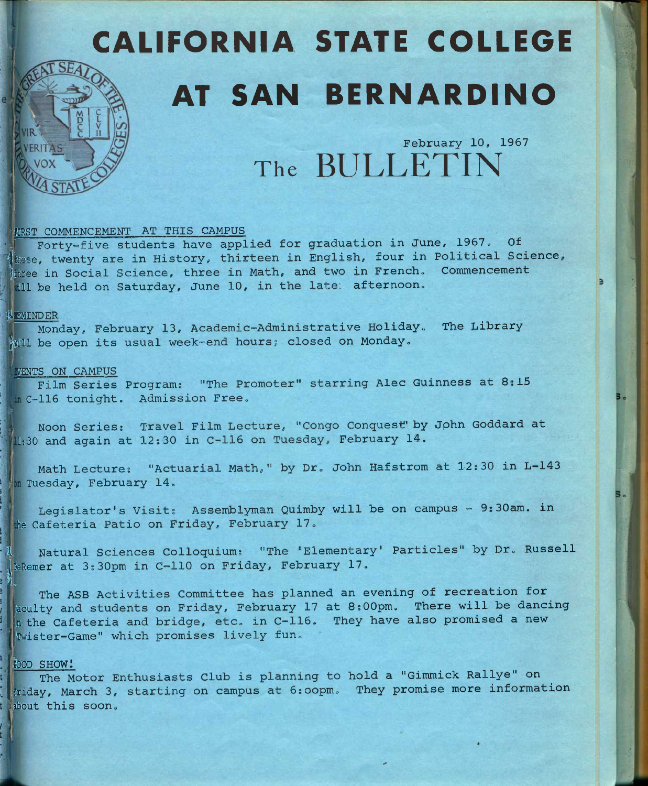# CALIFORNIA STATE COLLEGE AT SAN BERNARDINO

**February 10, 1957**  The **BULLETIN** 

## **fIRST COmENCEMENT AT THIS CAMPUS**

**Forty-five students have applied for graduation in June, 1967, Of**  these, twenty are in History, thirteen in English, four in Political Science, **fthree in Social Science, three in Math, and two in French. Commencement ill be held on Saturday, June 10, in the late; afternoon.** 

#### **jlEMINDER**

**Monday, February 13, Academic-Administrative Holiday, The Library**  Will be open its usual week-end hours; closed on Monday.

#### *MENTS ON CAMPUS*

**Film Series Program; "The Promoter" starring Alec Guinness at 8;15 C-116 tonight. Admission Free.** 

**Noon Series: Travel Film Lecture, "Congo Conquest' by Jphn Goddard at**  L:30 **and again at 12:30 in C-116 on Tuesday, February 14.** 

**Math Lecture; "Actuarial Math," by Dr. John Hafstrom at 12:30 in L-143 Tuesday, February 14.** 

**Legislator's Visit: Assemblyman Quimby will be on campus - 9;30am. in be Cafeteria Patio on Friday, February 17.** 

**1 Natural Sciences Colloquium; "The 'Elementary' Particles" by Dr. Russell |DeReiner at 3s 30pm in C-110 on Friday, February 17.** 

 $||\cdot||$ **The ASB Activities Committee has planned an evening of recreation for iaculty and students on Friday, February 17 at 8;00pm. There will be dancing ,n the Cafeteria and bridge, etc. in C-116. They have also promised a new 'Twister-Game" which promises lively fun.** 

#### **iOOD SHOW!**

**The Motor Enthusiasts Club is planning to hold a "Gimmick Rallye" on Friday, March 3, starting on campus at 6;oopm. They promise more information labout this soon.**